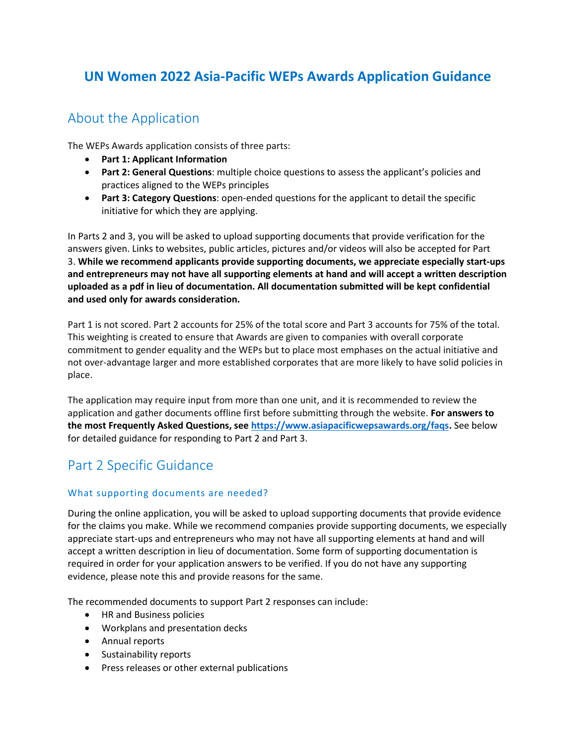# **UN Women 2022 Asia-Pacific WEPs Awards Application Guidance**

### About the Application

The WEPs Awards application consists of three parts:

- **Part 1: Applicant Information**
- **Part 2: General Questions**: multiple choice questions to assess the applicant's policies and practices aligned to the WEPs principles
- **Part 3: Category Questions**: open-ended questions for the applicant to detail the specific initiative for which they are applying.

In Parts 2 and 3, you will be asked to upload supporting documents that provide verification for the answers given. Links to websites, public articles, pictures and/or videos will also be accepted for Part 3. **While we recommend applicants provide supporting documents, we appreciate especially start-ups and entrepreneurs may not have all supporting elements at hand and will accept a written description uploaded as a pdf in lieu of documentation. All documentation submitted will be kept confidential and used only for awards consideration.**

Part 1 is not scored. Part 2 accounts for 25% of the total score and Part 3 accounts for 75% of the total. This weighting is created to ensure that Awards are given to companies with overall corporate commitment to gender equality and the WEPs but to place most emphases on the actual initiative and not over-advantage larger and more established corporates that are more likely to have solid policies in place.

The application may require input from more than one unit, and it is recommended to review the application and gather documents offline first before submitting through the website. **For answers to the most Frequently Asked Questions, see [https://www.asiapacificwepsawards.org/faqs.](https://www.asiapacificwepsawards.org/faqs)** See below for detailed guidance for responding to Part 2 and Part 3.

# Part 2 Specific Guidance

#### What supporting documents are needed?

During the online application, you will be asked to upload supporting documents that provide evidence for the claims you make. While we recommend companies provide supporting documents, we especially appreciate start-ups and entrepreneurs who may not have all supporting elements at hand and will accept a written description in lieu of documentation. Some form of supporting documentation is required in order for your application answers to be verified. If you do not have any supporting evidence, please note this and provide reasons for the same.

The recommended documents to support Part 2 responses can include:

- HR and Business policies
- Workplans and presentation decks
- Annual reports
- Sustainability reports
- Press releases or other external publications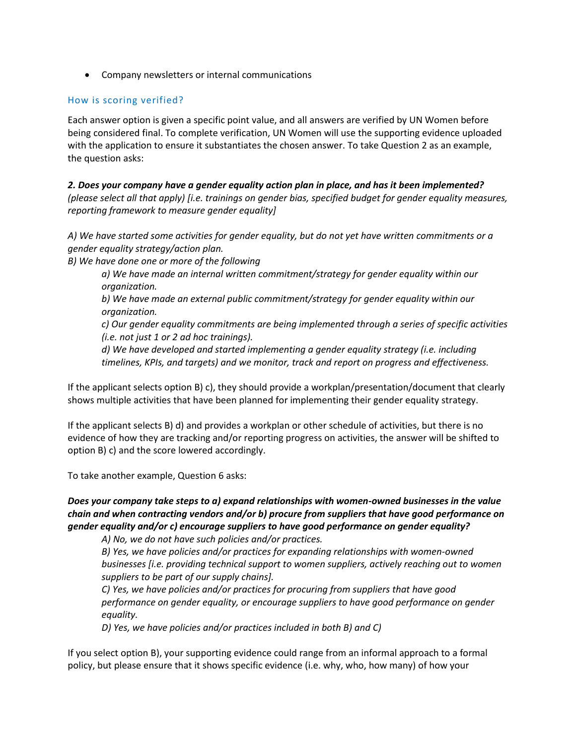• Company newsletters or internal communications

#### How is scoring verified?

Each answer option is given a specific point value, and all answers are verified by UN Women before being considered final. To complete verification, UN Women will use the supporting evidence uploaded with the application to ensure it substantiates the chosen answer. To take Question 2 as an example, the question asks:

*2. Does your company have a gender equality action plan in place, and has it been implemented? (please select all that apply) [i.e. trainings on gender bias, specified budget for gender equality measures, reporting framework to measure gender equality]*

*A) We have started some activities for gender equality, but do not yet have written commitments or a gender equality strategy/action plan.*

*B) We have done one or more of the following*

*a) We have made an internal written commitment/strategy for gender equality within our organization.*

*b) We have made an external public commitment/strategy for gender equality within our organization.*

*c) Our gender equality commitments are being implemented through a series of specific activities (i.e. not just 1 or 2 ad hoc trainings).*

*d) We have developed and started implementing a gender equality strategy (i.e. including timelines, KPIs, and targets) and we monitor, track and report on progress and effectiveness.*

If the applicant selects option B) c), they should provide a workplan/presentation/document that clearly shows multiple activities that have been planned for implementing their gender equality strategy.

If the applicant selects B) d) and provides a workplan or other schedule of activities, but there is no evidence of how they are tracking and/or reporting progress on activities, the answer will be shifted to option B) c) and the score lowered accordingly.

To take another example, Question 6 asks:

*Does your company take steps to a) expand relationships with women-owned businesses in the value chain and when contracting vendors and/or b) procure from suppliers that have good performance on gender equality and/or c) encourage suppliers to have good performance on gender equality?* 

*A) No, we do not have such policies and/or practices.*

*B) Yes, we have policies and/or practices for expanding relationships with women-owned businesses [i.e. providing technical support to women suppliers, actively reaching out to women suppliers to be part of our supply chains].*

*C) Yes, we have policies and/or practices for procuring from suppliers that have good performance on gender equality, or encourage suppliers to have good performance on gender equality.*

*D) Yes, we have policies and/or practices included in both B) and C)*

If you select option B), your supporting evidence could range from an informal approach to a formal policy, but please ensure that it shows specific evidence (i.e. why, who, how many) of how your